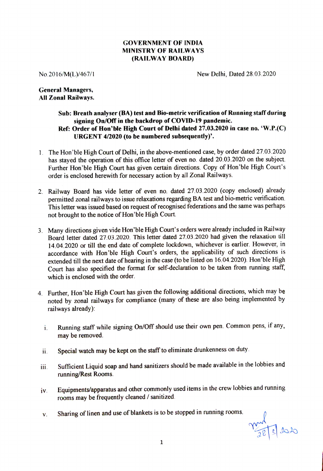## **GOVERNMENT OF INDIA MINISTRY OF RAILWAYS (RAILWAY BOARD)**

No. 2016/M(L)/467/1 New Delhi, Dated 28.03.2020

## **General Managers, All Zonal Railways.**

## **Sub: Breath analyser (BA) test and Bio-metric verification of Running staff during signing On/Off in the backdrop of COVID-19 pandemic. Ref: Order of Hon'ble High Court of Delhi dated 27.03.2020 in case no. 'W.P.(C) URGENT 4/2020 (to be numbered subsequently)'.**

- 1. The Hon'ble High Court of Delhi, in the above-mentioned case, by order dated 27.03.2020 has stayed the operation of this office letter of even no. dated 20.03.2020 on the subject. Further Hon'ble High Court has given certain directions. Copy of Hon'ble High Court's order is enclosed herewith for necessary action by all Zonal Railways.
- 2. Railway Board has vide letter of even no. dated 27.03.2020 (copy enclosed) already permitted zonal railways to issue relaxations regarding BA test and bio-metric verification. This letter was issued based on request of recognised federations and the same was perhaps not brought to the notice of Hon'ble High Court.
- 3. Many directions given vide Hon'ble High Court's orders were already included in Railway Board letter dated 27.03 .2020. This letter dated 27.03 .2020 had given the relaxation till <sup>14</sup>.04.2020 or till the end date of complete lockdown, whichever is earlier. However, in accordance with Hon'ble High Court's orders, the applicability of such directions is extended till the next date of hearing in the case (to be listed on 16.04.2020). Hon'ble High Court has also specified the format for self-declaration to be taken from running staff, which is enclosed with the order.
- 4. Further, Hon'ble High Court has given the following additional directions, which may be noted by zonal railways for compliance (many of these are also being implemented by railways already):
	- i. Running staff while signing On/Off should use their own pen. Common pens, if any, may be removed.
	- ii. Special watch may be kept on the staff to eliminate drunkenness on duty.
- iii. Sufficient Liquid soap and hand sanitizers should be made available in the lobbies and running/Rest Rooms.
- iv. Equipments/apparatus and other commonly used items in the crew lobbies and running rooms may be frequently cleaned/ sanitized.
- v. Sharing of linen and use of blankets is to be stopped in running rooms.

mal 38/2020